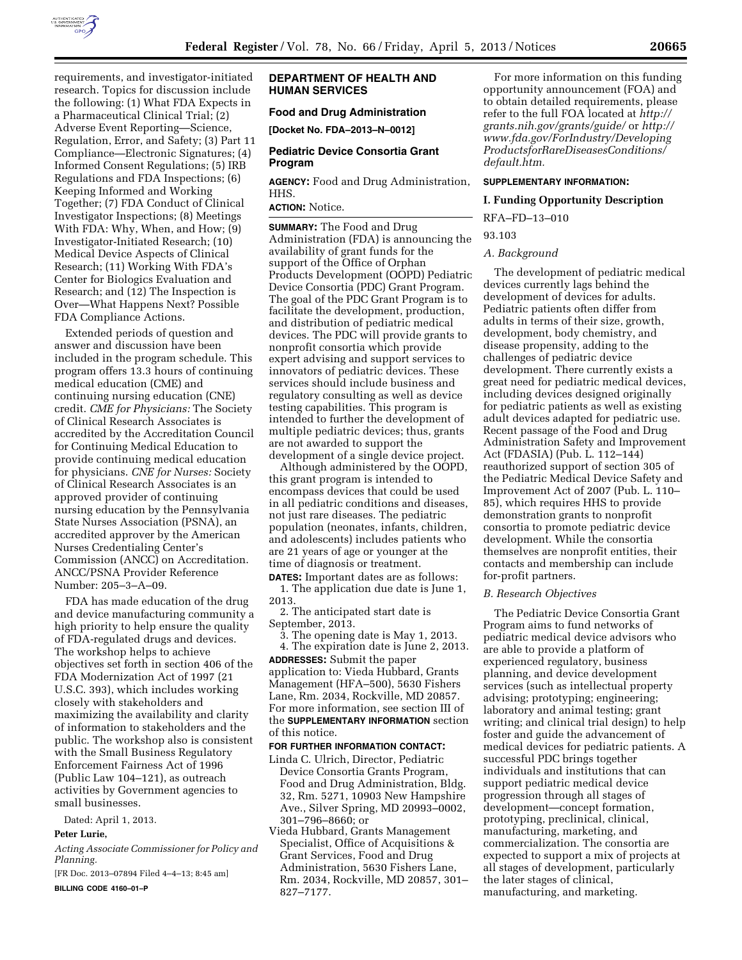

requirements, and investigator-initiated research. Topics for discussion include the following: (1) What FDA Expects in a Pharmaceutical Clinical Trial; (2) Adverse Event Reporting—Science, Regulation, Error, and Safety; (3) Part 11 Compliance—Electronic Signatures; (4) Informed Consent Regulations; (5) IRB Regulations and FDA Inspections; (6) Keeping Informed and Working Together; (7) FDA Conduct of Clinical Investigator Inspections; (8) Meetings With FDA: Why, When, and How; (9) Investigator-Initiated Research; (10) Medical Device Aspects of Clinical Research; (11) Working With FDA's Center for Biologics Evaluation and Research; and (12) The Inspection is Over—What Happens Next? Possible FDA Compliance Actions.

Extended periods of question and answer and discussion have been included in the program schedule. This program offers 13.3 hours of continuing medical education (CME) and continuing nursing education (CNE) credit. *CME for Physicians:* The Society of Clinical Research Associates is accredited by the Accreditation Council for Continuing Medical Education to provide continuing medical education for physicians. *CNE for Nurses:* Society of Clinical Research Associates is an approved provider of continuing nursing education by the Pennsylvania State Nurses Association (PSNA), an accredited approver by the American Nurses Credentialing Center's Commission (ANCC) on Accreditation. ANCC/PSNA Provider Reference Number: 205–3–A–09.

FDA has made education of the drug and device manufacturing community a high priority to help ensure the quality of FDA-regulated drugs and devices. The workshop helps to achieve objectives set forth in section 406 of the FDA Modernization Act of 1997 (21 U.S.C. 393), which includes working closely with stakeholders and maximizing the availability and clarity of information to stakeholders and the public. The workshop also is consistent with the Small Business Regulatory Enforcement Fairness Act of 1996 (Public Law 104–121), as outreach activities by Government agencies to small businesses.

Dated: April 1, 2013.

#### **Peter Lurie,**

*Acting Associate Commissioner for Policy and Planning.* 

[FR Doc. 2013–07894 Filed 4–4–13; 8:45 am] **BILLING CODE 4160–01–P** 

# **DEPARTMENT OF HEALTH AND HUMAN SERVICES**

# **Food and Drug Administration**

**[Docket No. FDA–2013–N–0012]** 

## **Pediatric Device Consortia Grant Program**

**AGENCY:** Food and Drug Administration, HHS.

**ACTION:** Notice.

**SUMMARY:** The Food and Drug Administration (FDA) is announcing the availability of grant funds for the support of the Office of Orphan Products Development (OOPD) Pediatric Device Consortia (PDC) Grant Program. The goal of the PDC Grant Program is to facilitate the development, production, and distribution of pediatric medical devices. The PDC will provide grants to nonprofit consortia which provide expert advising and support services to innovators of pediatric devices. These services should include business and regulatory consulting as well as device testing capabilities. This program is intended to further the development of multiple pediatric devices; thus, grants are not awarded to support the development of a single device project.

Although administered by the OOPD, this grant program is intended to encompass devices that could be used in all pediatric conditions and diseases, not just rare diseases. The pediatric population (neonates, infants, children, and adolescents) includes patients who are 21 years of age or younger at the time of diagnosis or treatment.

**DATES:** Important dates are as follows: 1. The application due date is June 1, 2013.

2. The anticipated start date is September, 2013.

3. The opening date is May 1, 2013. 4. The expiration date is June 2, 2013.

**ADDRESSES:** Submit the paper application to: Vieda Hubbard, Grants Management (HFA–500), 5630 Fishers Lane, Rm. 2034, Rockville, MD 20857. For more information, see section III of the **SUPPLEMENTARY INFORMATION** section of this notice.

## **FOR FURTHER INFORMATION CONTACT:**

- Linda C. Ulrich, Director, Pediatric Device Consortia Grants Program, Food and Drug Administration, Bldg. 32, Rm. 5271, 10903 New Hampshire Ave., Silver Spring, MD 20993–0002, 301–796–8660; or
- Vieda Hubbard, Grants Management Specialist, Office of Acquisitions & Grant Services, Food and Drug Administration, 5630 Fishers Lane, Rm. 2034, Rockville, MD 20857, 301– 827–7177.

For more information on this funding opportunity announcement (FOA) and to obtain detailed requirements, please refer to the full FOA located at *[http://](http://grants.nih.gov/grants/guide/) [grants.nih.gov/grants/guide/](http://grants.nih.gov/grants/guide/)* or *[http://](http://www.fda.gov/ForIndustry/DevelopingProductsforRareDiseasesConditions/default.htm) [www.fda.gov/ForIndustry/Developing](http://www.fda.gov/ForIndustry/DevelopingProductsforRareDiseasesConditions/default.htm) [ProductsforRareDiseasesConditions/](http://www.fda.gov/ForIndustry/DevelopingProductsforRareDiseasesConditions/default.htm) [default.htm.](http://www.fda.gov/ForIndustry/DevelopingProductsforRareDiseasesConditions/default.htm)* 

#### **SUPPLEMENTARY INFORMATION:**

#### **I. Funding Opportunity Description**

RFA–FD–13–010

# *A. Background*

93.103

The development of pediatric medical devices currently lags behind the development of devices for adults. Pediatric patients often differ from adults in terms of their size, growth, development, body chemistry, and disease propensity, adding to the challenges of pediatric device development. There currently exists a great need for pediatric medical devices, including devices designed originally for pediatric patients as well as existing adult devices adapted for pediatric use. Recent passage of the Food and Drug Administration Safety and Improvement Act (FDASIA) (Pub. L. 112–144) reauthorized support of section 305 of the Pediatric Medical Device Safety and Improvement Act of 2007 (Pub. L. 110– 85), which requires HHS to provide demonstration grants to nonprofit consortia to promote pediatric device development. While the consortia themselves are nonprofit entities, their contacts and membership can include for-profit partners.

#### *B. Research Objectives*

The Pediatric Device Consortia Grant Program aims to fund networks of pediatric medical device advisors who are able to provide a platform of experienced regulatory, business planning, and device development services (such as intellectual property advising; prototyping; engineering; laboratory and animal testing; grant writing; and clinical trial design) to help foster and guide the advancement of medical devices for pediatric patients. A successful PDC brings together individuals and institutions that can support pediatric medical device progression through all stages of development—concept formation, prototyping, preclinical, clinical, manufacturing, marketing, and commercialization. The consortia are expected to support a mix of projects at all stages of development, particularly the later stages of clinical, manufacturing, and marketing.